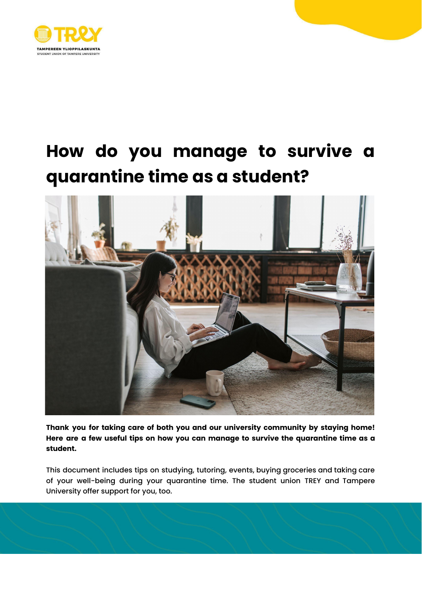

# **How do you manage to survive a quarantine time as a student?**



**Thank you for taking care of both you and our university community by staying home! Here are a few useful tips on how you can manage to survive the quarantine time as a student.**

This document includes tips on studying, tutoring, events, buying groceries and taking care of your well-being during your quarantine time. The student union TREY and Tampere University offer support for you, too.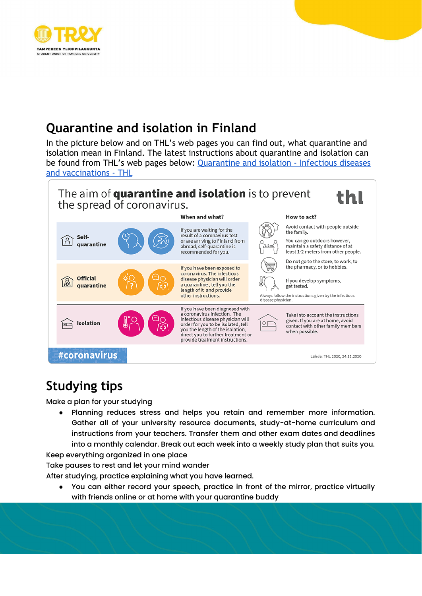

## **Quarantine and isolation in Finland**

In the picture below and on THL's web pages you can find out, what quarantine and isolation mean in Finland. The latest instructions about quarantine and isolation can be found from THL's web pages below: Quarantine and [isolation - Infectious diseases](https://thl.fi/en/web/infectious-diseases-and-vaccinations/what-s-new/coronavirus-covid-19-latest-updates/transmission-and-protection-coronavirus/quarantine-and-isolation) [and vaccinations - THL](https://thl.fi/en/web/infectious-diseases-and-vaccinations/what-s-new/coronavirus-covid-19-latest-updates/transmission-and-protection-coronavirus/quarantine-and-isolation)



#### **Studying tips**

Make a plan for your studying

Planning reduces stress and helps you retain and remember more information. Gather all of your university resource documents, study-at-home curriculum and instructions from your teachers. Transfer them and other exam dates and deadlines into a monthly calendar. Break out each week into a weekly study plan that suits you.

Keep everything organized in one place

Take pauses to rest and let your mind wander

After studying, practice explaining what you have learned.

You can either record your speech, practice in front of the mirror, practice virtually with friends online or at home with your quarantine buddy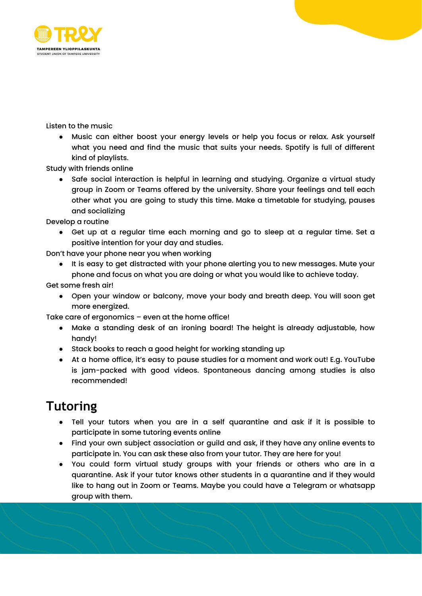

Listen to the music

● Music can either boost your energy levels or help you focus or relax. Ask yourself what you need and find the music that suits your needs. Spotify is full of different kind of playlists.

Study with friends online

● Safe social interaction is helpful in learning and studying. Organize a virtual study group in Zoom or Teams offered by the university. Share your feelings and tell each other what you are going to study this time. Make a timetable for studying, pauses and socializing

Develop a routine

● Get up at a regular time each morning and go to sleep at a regular time. Set a positive intention for your day and studies.

Don't have your phone near you when working

● It is easy to get distracted with your phone alerting you to new messages. Mute your phone and focus on what you are doing or what you would like to achieve today.

Get some fresh air!

● Open your window or balcony, move your body and breath deep. You will soon get more energized.

Take care of ergonomics – even at the home office!

- Make a standing desk of an ironing board! The height is already adjustable, how handy!
- Stack books to reach a good height for working standing up
- At a home office, it's easy to pause studies for a moment and work out! E.g. YouTube is jam-packed with good videos. Spontaneous dancing among studies is also recommended!

#### **Tutoring**

- Tell your tutors when you are in a self quarantine and ask if it is possible to participate in some tutoring events online
- Find your own subject association or guild and ask, if they have any online events to participate in. You can ask these also from your tutor. They are here for you!
- You could form virtual study groups with your friends or others who are in a quarantine. Ask if your tutor knows other students in a quarantine and if they would like to hang out in Zoom or Teams. Maybe you could have a Telegram or whatsapp group with them.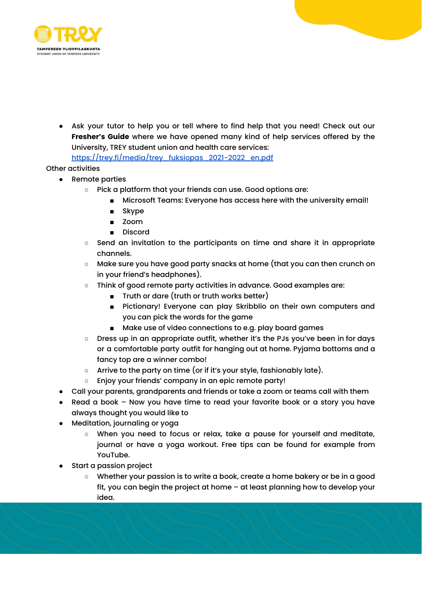

● Ask your tutor to help you or tell where to find help that you need! Check out our **Fresher's Guide** where we have opened many kind of help services offered by the University, TREY student union and health care services: [https://trey.fi/media/trey\\_fuksiopas\\_2021-2022\\_en.pdf](https://trey.fi/media/trey_fuksiopas_2021-2022_en.pdf)

Other activities

- Remote parties
	- Pick a platform that your friends can use. Good options are:
		- Microsoft Teams: Everyone has access here with the university email!
		- Skype
		- Zoom
		- Discord
	- Send an invitation to the participants on time and share it in appropriate channels.
	- Make sure you have good party snacks at home (that you can then crunch on in your friend's headphones).
	- Think of good remote party activities in advance. Good examples are:
		- Truth or dare (truth or truth works better)
		- Pictionary! Everyone can play Skribblio on their own computers and you can pick the words for the game
		- Make use of video connections to e.g. play board games
	- Dress up in an appropriate outfit, whether it's the PJs you've been in for days or a comfortable party outfit for hanging out at home. Pyjama bottoms and a fancy top are a winner combo!
	- Arrive to the party on time (or if it's your style, fashionably late).
	- Enjoy your friends' company in an epic remote party!
- Call your parents, grandparents and friends or take a zoom or teams call with them
- Read a book Now you have time to read your favorite book or a story you have always thought you would like to
- Meditation, journaling or yoga
	- When you need to focus or relax, take a pause for yourself and meditate, journal or have a yoga workout. Free tips can be found for example from YouTube.
- Start a passion project
	- Whether your passion is to write a book, create a home bakery or be in a good fit, you can begin the project at home – at least planning how to develop your idea.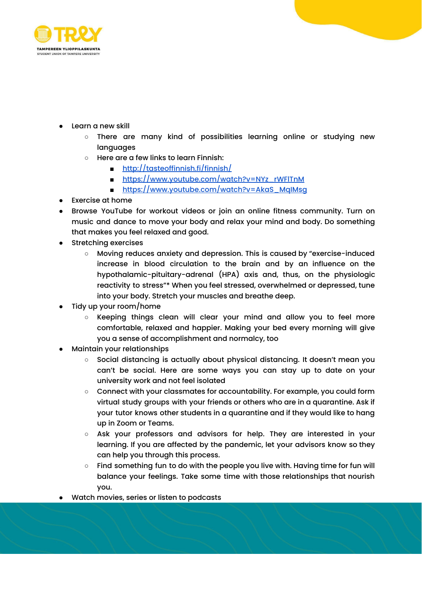

- Learn a new skill
	- There are many kind of possibilities learning online or studying new languages
	- Here are a few links to learn Finnish:
		- <http://tasteoffinnish.fi/finnish/>
		- [https://www.youtube.com/watch?v=NYz\\_rWFlTnM](https://www.youtube.com/watch?v=NYz_rWFlTnM)
		- https://www.youtube.com/watch?v=AkaS\_MqlMsq
- Exercise at home
- Browse YouTube for workout videos or join an online fitness community. Turn on music and dance to move your body and relax your mind and body. Do something that makes you feel relaxed and good.
- Stretching exercises
	- Moving reduces anxiety and depression. This is caused by "exercise-induced increase in blood circulation to the brain and by an influence on the hypothalamic-pituitary-adrenal (HPA) axis and, thus, on the physiologic reactivity to stress"\* When you feel stressed, overwhelmed or depressed, tune into your body. Stretch your muscles and breathe deep.
- Tidy up your room/home
	- Keeping things clean will clear your mind and allow you to feel more comfortable, relaxed and happier. Making your bed every morning will give you a sense of accomplishment and normalcy, too
- Maintain your relationships
	- Social distancing is actually about physical distancing. It doesn't mean you can't be social. Here are some ways you can stay up to date on your university work and not feel isolated
	- Connect with your classmates for accountability. For example, you could form virtual study groups with your friends or others who are in a quarantine. Ask if your tutor knows other students in a quarantine and if they would like to hang up in Zoom or Teams.
	- Ask your professors and advisors for help. They are interested in your learning. If you are affected by the pandemic, let your advisors know so they can help you through this process.
	- Find something fun to do with the people you live with. Having time for fun will balance your feelings. Take some time with those relationships that nourish you.
- Watch movies, series or listen to podcasts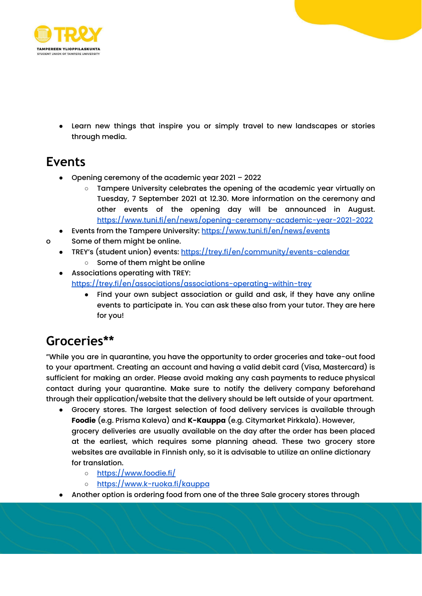

Learn new things that inspire you or simply travel to new landscapes or stories through media.

### **Events**

- Opening ceremony of the academic year 2021 2022
	- Tampere University celebrates the opening of the academic year virtually on Tuesday, 7 September 2021 at 12.30. More information on the ceremony and other events of the opening day will be announced in August. <https://www.tuni.fi/en/news/opening-ceremony-academic-year-2021-2022>
- Events from the Tampere University: <https://www.tuni.fi/en/news/events>
- o Some of them might be online.
	- TREY's (student union) events: <https://trey.fi/en/community/events-calendar>
		- Some of them might be online
	- Associations operating with TREY: <https://trey.fi/en/associations/associations-operating-within-trey>
		- Find your own subject association or guild and ask, if they have any online events to participate in. You can ask these also from your tutor. They are here for you!

#### **Groceries\*\***

"While you are in quarantine, you have the opportunity to order groceries and take-out food to your apartment. Creating an account and having a valid debit card (Visa, Mastercard) is sufficient for making an order. Please avoid making any cash payments to reduce physical contact during your quarantine. Make sure to notify the delivery company beforehand through their application/website that the delivery should be left outside of your apartment.

- Grocery stores. The largest selection of food delivery services is available through **Foodie** (e.g. Prisma Kaleva) and **K-Kauppa** (e.g. Citymarket Pirkkala). However, grocery deliveries are usually available on the day after the order has been placed at the earliest, which requires some planning ahead. These two grocery store websites are available in Finnish only, so it is advisable to utilize an online dictionary for translation.
	- <https://www.foodie.fi/>
	- <https://www.k-ruoka.fi/kauppa>
- Another option is ordering food from one of the three Sale grocery stores through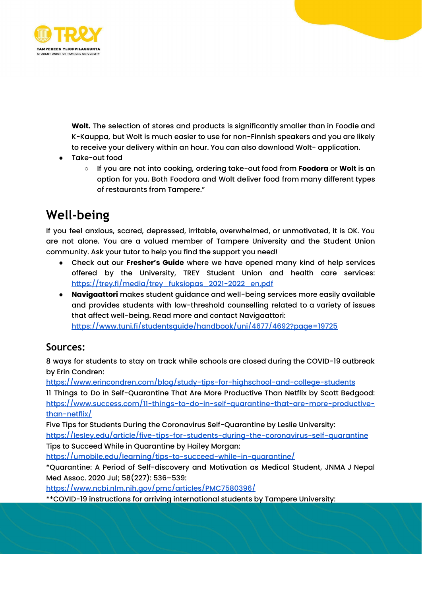

**Wolt.** The selection of stores and products is significantly smaller than in Foodie and K-Kauppa, but Wolt is much easier to use for non-Finnish speakers and you are likely to receive your delivery within an hour. You can also download Wolt- application.

- Take-out food
	- If you are not into cooking, ordering take-out food from **Foodora** or **Wolt** is an option for you. Both Foodora and Wolt deliver food from many different types of restaurants from Tampere."

#### **Well-being**

If you feel anxious, scared, depressed, irritable, overwhelmed, or unmotivated, it is OK. You are not alone. You are a valued member of Tampere University and the Student Union community. Ask your tutor to help you find the support you need!

- Check out our **Fresher's Guide** where we have opened many kind of help services offered by the University, TREY Student Union and health care services: [https://trey.fi/media/trey\\_fuksiopas\\_2021-2022\\_en.pdf](https://trey.fi/media/trey_fuksiopas_2021-2022_en.pdf)
- **Navigaattori** makes student guidance and well-being services more easily available and provides students with low-threshold counselling related to a variety of issues that affect well-being. Read more and contact Navigaattori: <https://www.tuni.fi/studentsguide/handbook/uni/4677/4692?page=19725>

#### **Sources:**

8 ways for students to stay on track while schools are closed during the COVID-19 outbreak by Erin Condren:

<https://www.erincondren.com/blog/study-tips-for-highschool-and-college-students>

11 Things to Do in Self-Quarantine That Are More Productive Than Netflix by Scott Bedgood: [https://www.success.com/11-things-to-do-in-self-quarantine-that-are-more-productive](https://www.success.com/11-things-to-do-in-self-quarantine-that-are-more-productive-than-netflix/)[than-netflix/](https://www.success.com/11-things-to-do-in-self-quarantine-that-are-more-productive-than-netflix/)

Five Tips for Students During the Coronavirus Self-Quarantine by Leslie University:

<https://lesley.edu/article/five-tips-for-students-during-the-coronavirus-self-quarantine> Tips to Succeed While in Quarantine by Hailey Morgan:

<https://umobile.edu/learning/tips-to-succeed-while-in-quarantine/>

\*Quarantine: A Period of Self-discovery and Motivation as Medical Student, JNMA J Nepal Med Assoc. 2020 Jul; 58(227): 536–539:

<https://www.ncbi.nlm.nih.gov/pmc/articles/PMC7580396/>

\*\*COVID-19 instructions for arriving international students by Tampere University: